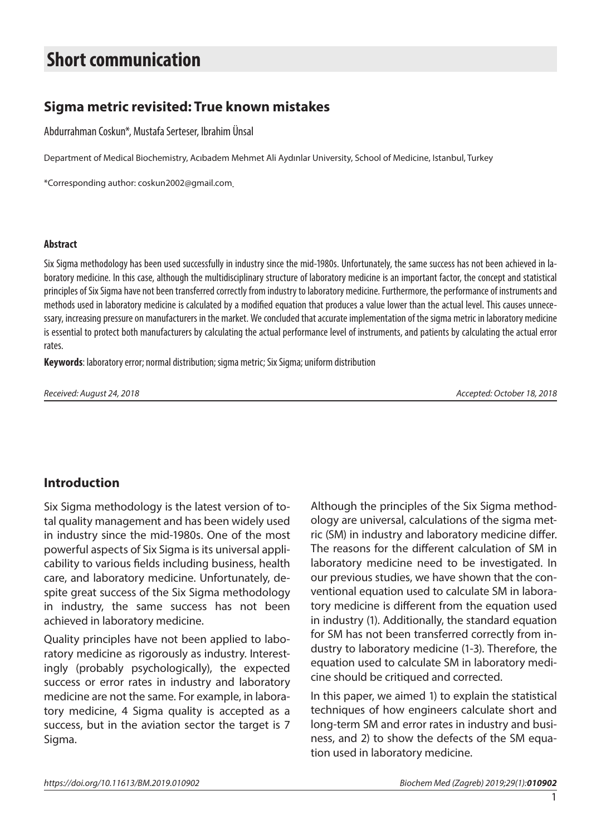# **Short communication**

# **Sigma metric revisited: True known mistakes**

Abdurrahman Coskun\*, Mustafa Serteser, Ibrahim Ünsal

Department of Medical Biochemistry, Acıbadem Mehmet Ali Aydınlar University, School of Medicine, Istanbul, Turkey

\*Corresponding author: coskun2002@gmail.com

#### **Abstract**

Six Sigma methodology has been used successfully in industry since the mid-1980s. Unfortunately, the same success has not been achieved in laboratory medicine. In this case, although the multidisciplinary structure of laboratory medicine is an important factor, the concept and statistical principles of Six Sigma have not been transferred correctly from industry to laboratory medicine. Furthermore, the performance of instruments and methods used in laboratory medicine is calculated by a modified equation that produces a value lower than the actual level. This causes unnecessary, increasing pressure on manufacturers in the market. We concluded that accurate implementation of the sigma metric in laboratory medicine is essential to protect both manufacturers by calculating the actual performance level of instruments, and patients by calculating the actual error rates.

**Keywords**: laboratory error; normal distribution; sigma metric; Six Sigma; uniform distribution

*Received: August 24, 2018 Accepted: October 18, 2018*

# **Introduction**

Six Sigma methodology is the latest version of total quality management and has been widely used in industry since the mid-1980s. One of the most powerful aspects of Six Sigma is its universal applicability to various fields including business, health care, and laboratory medicine. Unfortunately, despite great success of the Six Sigma methodology in industry, the same success has not been achieved in laboratory medicine.

Quality principles have not been applied to laboratory medicine as rigorously as industry. Interestingly (probably psychologically), the expected success or error rates in industry and laboratory medicine are not the same. For example, in laboratory medicine, 4 Sigma quality is accepted as a success, but in the aviation sector the target is 7 Sigma.

Although the principles of the Six Sigma methodology are universal, calculations of the sigma metric (SM) in industry and laboratory medicine differ. The reasons for the different calculation of SM in laboratory medicine need to be investigated. In our previous studies, we have shown that the conventional equation used to calculate SM in laboratory medicine is different from the equation used in industry (1). Additionally, the standard equation for SM has not been transferred correctly from industry to laboratory medicine (1-3). Therefore, the equation used to calculate SM in laboratory medicine should be critiqued and corrected.

In this paper, we aimed 1) to explain the statistical techniques of how engineers calculate short and long-term SM and error rates in industry and business, and 2) to show the defects of the SM equation used in laboratory medicine.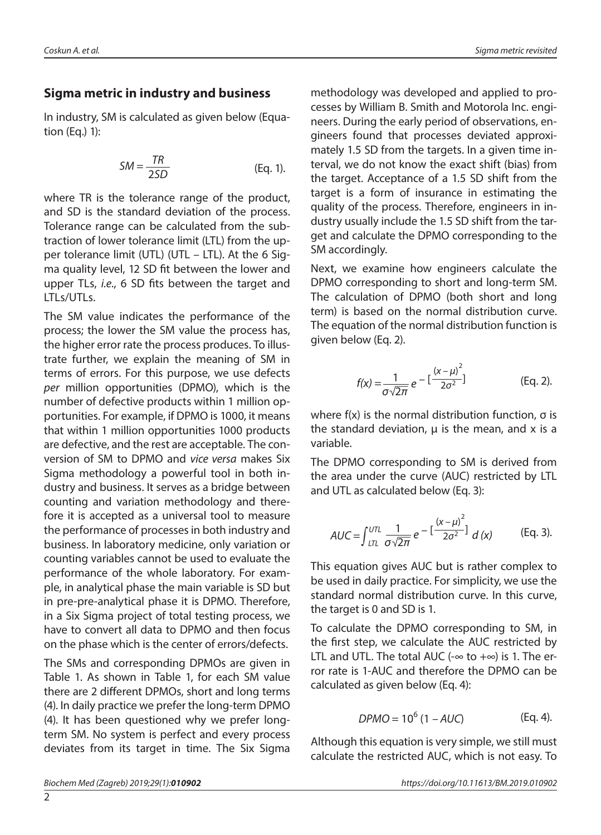## **Sigma metric in industry and business**

In industry, SM is calculated as given below (Equation (Eq.) 1):

$$
SM = \frac{TR}{2SD}
$$
 (Eq. 1).

where TR is the tolerance range of the product, and SD is the standard deviation of the process. Tolerance range can be calculated from the subtraction of lower tolerance limit (LTL) from the upper tolerance limit (UTL) (UTL – LTL). At the 6 Sigma quality level, 12 SD fit between the lower and upper TLs, *i.e*., 6 SD fits between the target and LTLs/UTLs.

The SM value indicates the performance of the process; the lower the SM value the process has, the higher error rate the process produces. To illustrate further, we explain the meaning of SM in terms of errors. For this purpose, we use defects *per* million opportunities (DPMO), which is the number of defective products within 1 million opportunities. For example, if DPMO is 1000, it means that within 1 million opportunities 1000 products are defective, and the rest are acceptable. The conversion of SM to DPMO and *vice versa* makes Six Sigma methodology a powerful tool in both industry and business. It serves as a bridge between counting and variation methodology and therefore it is accepted as a universal tool to measure the performance of processes in both industry and business. In laboratory medicine, only variation or counting variables cannot be used to evaluate the performance of the whole laboratory. For example, in analytical phase the main variable is SD but in pre-pre-analytical phase it is DPMO. Therefore, in a Six Sigma project of total testing process, we have to convert all data to DPMO and then focus on the phase which is the center of errors/defects.

The SMs and corresponding DPMOs are given in Table 1. As shown in Table 1, for each SM value there are 2 different DPMOs, short and long terms (4). In daily practice we prefer the long-term DPMO (4). It has been questioned why we prefer longterm SM. No system is perfect and every process deviates from its target in time. The Six Sigma methodology was developed and applied to processes by William B. Smith and Motorola Inc. engineers. During the early period of observations, engineers found that processes deviated approximately 1.5 SD from the targets. In a given time interval, we do not know the exact shift (bias) from the target. Acceptance of a 1.5 SD shift from the target is a form of insurance in estimating the quality of the process. Therefore, engineers in industry usually include the 1.5 SD shift from the target and calculate the DPMO corresponding to the SM accordingly.

Next, we examine how engineers calculate the DPMO corresponding to short and long-term SM. The calculation of DPMO (both short and long term) is based on the normal distribution curve. The equation of the normal distribution function is given below (Eq. 2).

$$
f(x) = \frac{1}{\sigma \sqrt{2\pi}} e^{-\left[\frac{(x-\mu)^2}{2\sigma^2}\right]}
$$
 (Eq. 2).

where  $f(x)$  is the normal distribution function,  $\sigma$  is the standard deviation,  $\mu$  is the mean, and x is a variable.

The DPMO corresponding to SM is derived from the area under the curve (AUC) restricted by LTL and UTL as calculated below (Eq. 3):

$$
AUC = \int_{LTL}^{UTL} \frac{1}{\sigma \sqrt{2\pi}} e^{-\left[\frac{(x-\mu)^2}{2\sigma^2}\right]} d(x)
$$
 (Eq. 3).

This equation gives AUC but is rather complex to be used in daily practice. For simplicity, we use the standard normal distribution curve. In this curve, the target is 0 and SD is 1.

To calculate the DPMO corresponding to SM, in the first step, we calculate the AUC restricted by LTL and UTL. The total AUC ( $-\infty$  to  $+\infty$ ) is 1. The error rate is 1-AUC and therefore the DPMO can be calculated as given below (Eq. 4):

$$
DPMO = 10^6 (1 - AUC) \tag{Eq. 4}
$$

Although this equation is very simple, we still must calculate the restricted AUC, which is not easy. To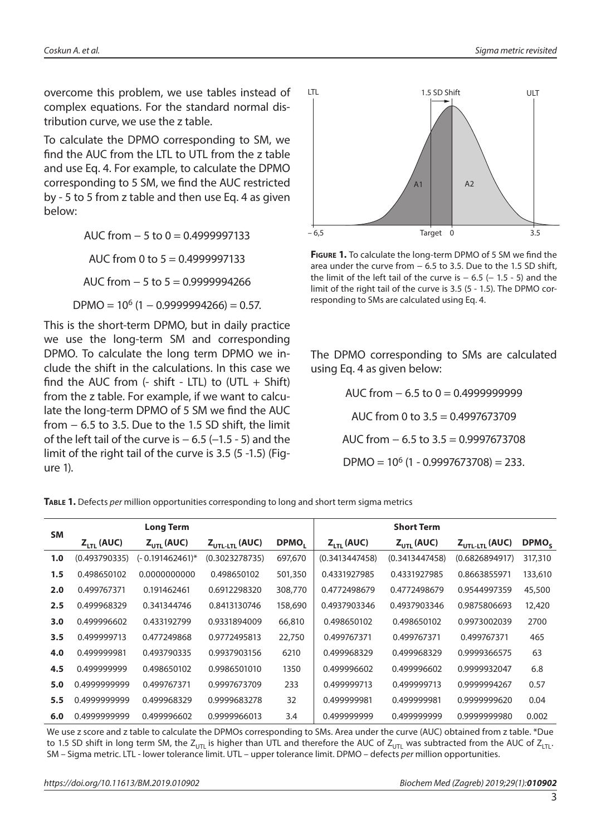overcome this problem, we use tables instead of complex equations. For the standard normal distribution curve, we use the z table.

To calculate the DPMO corresponding to SM, we find the AUC from the LTL to UTL from the z table and use Eq. 4. For example, to calculate the DPMO corresponding to 5 SM, we find the AUC restricted by - 5 to 5 from z table and then use Eq. 4 as given below:

> AUC from  $-5$  to  $0 = 0.4999997133$ AUC from 0 to  $5 = 0.4999997133$

AUC from − 5 to 5 = 0.9999994266

 $DPMO = 10^6 (1 - 0.9999994266) = 0.57.$ 

This is the short-term DPMO, but in daily practice we use the long-term SM and corresponding DPMO. To calculate the long term DPMO we include the shift in the calculations. In this case we find the AUC from  $(-\text{shift} - \text{LTL})$  to  $(\text{UTL} + \text{Shift})$ from the z table. For example, if we want to calculate the long-term DPMO of 5 SM we find the AUC from − 6.5 to 3.5. Due to the 1.5 SD shift, the limit of the left tail of the curve is  $-6.5$  ( $-1.5$  - 5) and the limit of the right tail of the curve is 3.5 (5 -1.5) (Figure 1).



**Figure 1.** To calculate the long-term DPMO of 5 SM we find the area under the curve from − 6.5 to 3.5. Due to the 1.5 SD shift, the limit of the left tail of the curve is  $-6.5$  ( $-1.5 - 5$ ) and the limit of the right tail of the curve is 3.5 (5 - 1.5). The DPMO corresponding to SMs are calculated using Eq. 4.

The DPMO corresponding to SMs are calculated using Eq. 4 as given below:

> AUC from − 6.5 to 0 = 0.4999999999 AUC from 0 to 3.5 = 0.4997673709 AUC from − 6.5 to 3.5 = 0.9997673708  $DPMO = 10^6 (1 - 0.9997673708) = 233.$

**Table 1.** Defects *per* million opportunities corresponding to long and short term sigma metrics

| <b>SM</b> |                      | <b>Long Term</b> |                                  | <b>Short Term</b> |                        |                 |                                  |                   |
|-----------|----------------------|------------------|----------------------------------|-------------------|------------------------|-----------------|----------------------------------|-------------------|
|           | $Z_{\text{H}}$ (AUC) | $Z_{UTL}$ (AUC)  | $Z_{\text{UTL-LTL}}(\text{AUC})$ | DPMO,             | $Z_{\text{LTI}}$ (AUC) | $Z_{UTL}$ (AUC) | $Z_{\text{UTL-LTL}}(\text{AUC})$ | DPMO <sub>S</sub> |
| 1.0       | (0.493790335)        | (- 0.191462461)* | (0.3023278735)                   | 697,670           | (0.3413447458)         | (0.3413447458)  | (0.6826894917)                   | 317,310           |
| 1.5       | 0.498650102          | 0.0000000000     | 0.498650102                      | 501,350           | 0.4331927985           | 0.4331927985    | 0.8663855971                     | 133,610           |
| 2.0       | 0.499767371          | 0.191462461      | 0.6912298320                     | 308,770           | 0.4772498679           | 0.4772498679    | 0.9544997359                     | 45,500            |
| 2.5       | 0.499968329          | 0.341344746      | 0.8413130746                     | 158,690           | 0.4937903346           | 0.4937903346    | 0.9875806693                     | 12,420            |
| 3.0       | 0.499996602          | 0.433192799      | 0.9331894009                     | 66,810            | 0.498650102            | 0.498650102     | 0.9973002039                     | 2700              |
| 3.5       | 0.499999713          | 0.477249868      | 0.9772495813                     | 22,750            | 0.499767371            | 0.499767371     | 0.499767371                      | 465               |
| 4.0       | 0.499999981          | 0.493790335      | 0.9937903156                     | 6210              | 0.499968329            | 0.499968329     | 0.9999366575                     | 63                |
| 4.5       | 0.499999999          | 0.498650102      | 0.9986501010                     | 1350              | 0.499996602            | 0.499996602     | 0.9999932047                     | 6.8               |
| 5.0       | 0.4999999999         | 0.499767371      | 0.9997673709                     | 233               | 0.499999713            | 0.499999713     | 0.9999994267                     | 0.57              |
| 5.5       | 0.4999999999         | 0.499968329      | 0.9999683278                     | 32                | 0.499999981            | 0.499999981     | 0.9999999620                     | 0.04              |
| 6.0       | 0.4999999999         | 0.499996602      | 0.9999966013                     | 3.4               | 0.499999999            | 0.499999999     | 0.999999980                      | 0.002             |

We use z score and z table to calculate the DPMOs corresponding to SMs. Area under the curve (AUC) obtained from z table. \*Due to 1.5 SD shift in long term SM, the  $Z_{UTL}$  is higher than UTL and therefore the AUC of  $Z_{UTL}$  was subtracted from the AUC of  $Z_{TTL}$ . SM – Sigma metric. LTL - lower tolerance limit. UTL – upper tolerance limit. DPMO – defects *per* million opportunities.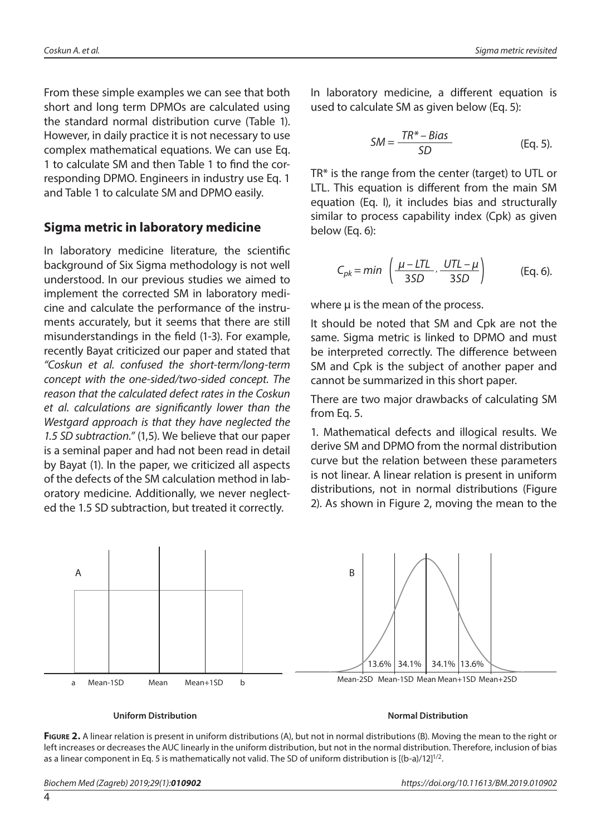From these simple examples we can see that both short and long term DPMOs are calculated using the standard normal distribution curve (Table 1). However, in daily practice it is not necessary to use complex mathematical equations. We can use Eq. 1 to calculate SM and then Table 1 to find the corresponding DPMO. Engineers in industry use Eq. 1 and Table 1 to calculate SM and DPMO easily.

## **Sigma metric in laboratory medicine**

In laboratory medicine literature, the scientific background of Six Sigma methodology is not well understood. In our previous studies we aimed to implement the corrected SM in laboratory medicine and calculate the performance of the instruments accurately, but it seems that there are still misunderstandings in the field (1-3). For example, recently Bayat criticized our paper and stated that *"Coskun et al. confused the short-term/long-term concept with the one-sided/two-sided concept. The reason that the calculated defect rates in the Coskun et al. calculations are significantly lower than the Westgard approach is that they have neglected the 1.5 SD subtraction."* (1,5). We believe that our paper is a seminal paper and had not been read in detail by Bayat (1). In the paper, we criticized all aspects of the defects of the SM calculation method in laboratory medicine. Additionally, we never neglected the 1.5 SD subtraction, but treated it correctly.

In laboratory medicine, a different equation is used to calculate SM as given below (Eq. 5):

$$
SM = \frac{TR^* - Bias}{SD}
$$
 (Eq. 5).

TR\* is the range from the center (target) to UTL or LTL. This equation is different from the main SM equation (Eq. I), it includes bias and structurally similar to process capability index (Cpk) as given below (Eq. 6):

$$
C_{pk} = min \left( \frac{\mu - LTL}{3SD}, \frac{UTL - \mu}{3SD} \right) \qquad \text{(Eq. 6).}
$$

where  $\mu$  is the mean of the process.

It should be noted that SM and Cpk are not the same. Sigma metric is linked to DPMO and must be interpreted correctly. The difference between SM and Cpk is the subject of another paper and cannot be summarized in this short paper.

There are two major drawbacks of calculating SM from Eq. 5.

1. Mathematical defects and illogical results. We derive SM and DPMO from the normal distribution curve but the relation between these parameters is not linear. A linear relation is present in uniform distributions, not in normal distributions (Figure 2). As shown in Figure 2, moving the mean to the



#### **Uniform Distribution Normal Distribution**

**FIGURE 2.** A linear relation is present in uniform distributions (A), but not in normal distributions (B). Moving the mean to the right or left increases or decreases the AUC linearly in the uniform distribution, but not in the normal distribution. Therefore, inclusion of bias as a linear component in Eq. 5 is mathematically not valid. The SD of uniform distribution is  $[(b-a)/12]^{1/2}$ .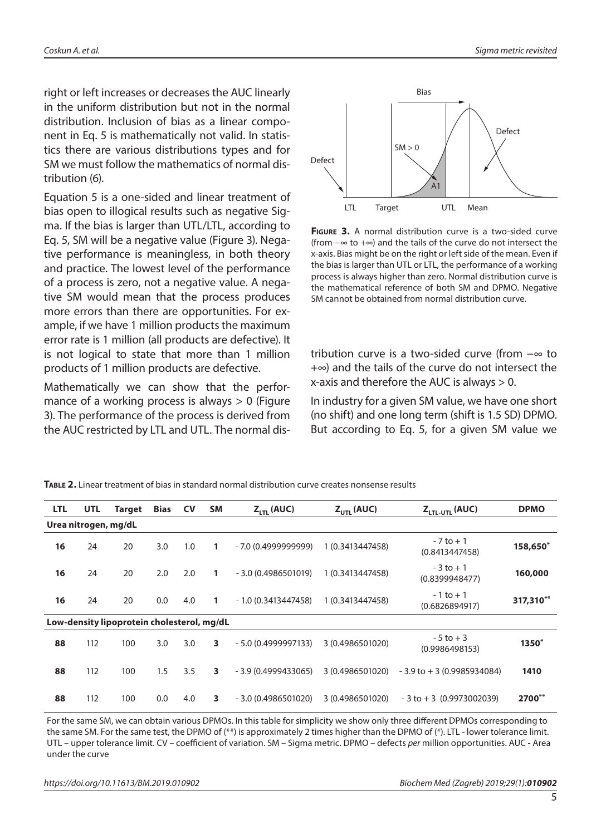right or left increases or decreases the AUC linearly in the uniform distribution but not in the normal distribution. Inclusion of bias as a linear component in Eq. 5 is mathematically not valid. In statistics there are various distributions types and for SM we must follow the mathematics of normal distribution (6).

Equation 5 is a one-sided and linear treatment of bias open to illogical results such as negative Sigma. If the bias is larger than UTL/LTL, according to Eq. 5, SM will be a negative value (Figure 3). Negative performance is meaningless, in both theory and practice. The lowest level of the performance of a process is zero, not a negative value. A negative SM would mean that the process produces more errors than there are opportunities. For example, if we have 1 million products the maximum error rate is 1 million (all products are defective). It is not logical to state that more than 1 million products of 1 million products are defective.

Mathematically we can show that the performance of a working process is always  $> 0$  (Figure 3). The performance of the process is derived from the AUC restricted by LTL and UTL. The normal dis-



**Figure 3.** A normal distribution curve is a two-sided curve (from −∞ to +∞) and the tails of the curve do not intersect the x-axis. Bias might be on the right or left side of the mean. Even if the bias is larger than UTL or LTL, the performance of a working process is always higher than zero. Normal distribution curve is the mathematical reference of both SM and DPMO. Negative SM cannot be obtained from normal distribution curve.

tribution curve is a two-sided curve (from −∞ to +∞) and the tails of the curve do not intersect the x-axis and therefore the AUC is always > 0.

In industry for a given SM value, we have one short (no shift) and one long term (shift is 1.5 SD) DPMO. But according to Eq. 5, for a given SM value we

| <b>LTL</b>                                 | <b>UTL</b> | <b>Target</b> | Bias | <b>CV</b> | <b>SM</b> | $Z_{\text{LTI}}$ (AUC) | $Z_{UTL}$ (AUC)  | Z <sub>LTL-UTL</sub> (AUC)     | <b>DPMO</b> |  |
|--------------------------------------------|------------|---------------|------|-----------|-----------|------------------------|------------------|--------------------------------|-------------|--|
| Urea nitrogen, mg/dL                       |            |               |      |           |           |                        |                  |                                |             |  |
| 16                                         | 24         | 20            | 3.0  | 1.0       | 1         | $-7.0(0.4999999999)$   | 1 (0.3413447458) | $-7$ to $+1$<br>(0.8413447458) | 158,650*    |  |
| 16                                         | 24         | 20            | 2.0  | 2.0       | 1.        | $-3.0(0.4986501019)$   | 1 (0.3413447458) | $-3$ to $+1$<br>(0.8399948477) | 160,000     |  |
| 16                                         | 24         | 20            | 0.0  | 4.0       | 1         | $-1.0(0.3413447458)$   | 1 (0.3413447458) | $-1$ to $+1$<br>(0.6826894917) | 317,310**   |  |
| Low-density lipoprotein cholesterol, mg/dL |            |               |      |           |           |                        |                  |                                |             |  |
| 88                                         | 112        | 100           | 3.0  | 3.0       | 3         | $-5.0(0.4999997133)$   | 3 (0.4986501020) | $-5$ to $+3$<br>(0.9986498153) | 1350*       |  |
| 88                                         | 112        | 100           | 1.5  | 3.5       | 3         | $-3.9(0.4999433065)$   | 3 (0.4986501020) | $-3.9$ to $+3$ (0.9985934084)  | 1410        |  |
| 88                                         | 112        | 100           | 0.0  | 4.0       | 3         | $-3.0(0.4986501020)$   | 3 (0.4986501020) | $-3$ to $+3$ (0.9973002039)    | 2700**      |  |

**Table 2.** Linear treatment of bias in standard normal distribution curve creates nonsense results

For the same SM, we can obtain various DPMOs. In this table for simplicity we show only three different DPMOs corresponding to the same SM. For the same test, the DPMO of (\*\*) is approximately 2 times higher than the DPMO of (\*). LTL - lower tolerance limit. UTL – upper tolerance limit. CV – coefficient of variation. SM – Sigma metric. DPMO – defects *per* million opportunities. AUC - Area under the curve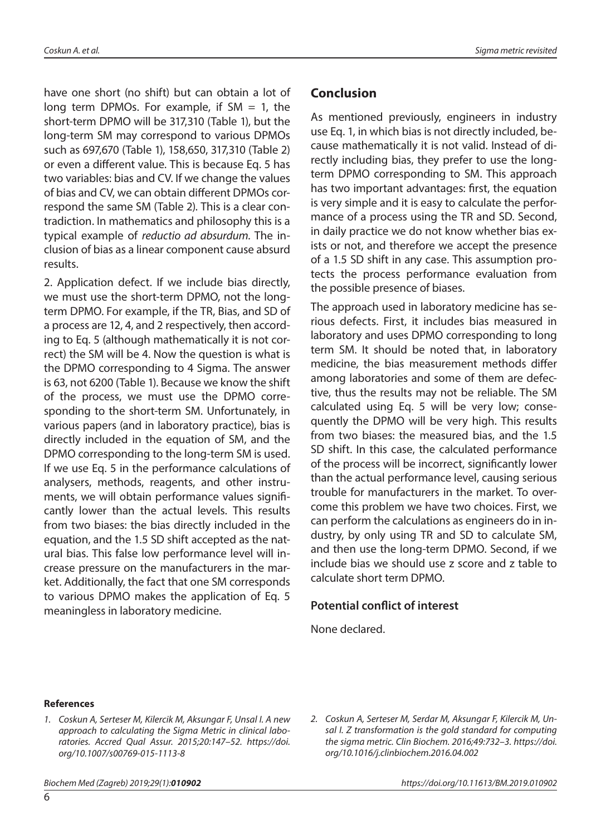have one short (no shift) but can obtain a lot of long term DPMOs. For example, if  $SM = 1$ , the short-term DPMO will be 317,310 (Table 1), but the long-term SM may correspond to various DPMOs such as 697,670 (Table 1), 158,650, 317,310 (Table 2) or even a different value. This is because Eq. 5 has two variables: bias and CV. If we change the values of bias and CV, we can obtain different DPMOs correspond the same SM (Table 2). This is a clear contradiction. In mathematics and philosophy this is a typical example of *reductio ad absurdum.* The inclusion of bias as a linear component cause absurd results.

2. Application defect. If we include bias directly, we must use the short-term DPMO, not the longterm DPMO. For example, if the TR, Bias, and SD of a process are 12, 4, and 2 respectively, then according to Eq. 5 (although mathematically it is not correct) the SM will be 4. Now the question is what is the DPMO corresponding to 4 Sigma. The answer is 63, not 6200 (Table 1). Because we know the shift of the process, we must use the DPMO corresponding to the short-term SM. Unfortunately, in various papers (and in laboratory practice), bias is directly included in the equation of SM, and the DPMO corresponding to the long-term SM is used. If we use Eq. 5 in the performance calculations of analysers, methods, reagents, and other instruments, we will obtain performance values significantly lower than the actual levels. This results from two biases: the bias directly included in the equation, and the 1.5 SD shift accepted as the natural bias. This false low performance level will increase pressure on the manufacturers in the market. Additionally, the fact that one SM corresponds to various DPMO makes the application of Eq. 5 meaningless in laboratory medicine.

## **Conclusion**

As mentioned previously, engineers in industry use Eq. 1, in which bias is not directly included, because mathematically it is not valid. Instead of directly including bias, they prefer to use the longterm DPMO corresponding to SM. This approach has two important advantages: first, the equation is very simple and it is easy to calculate the performance of a process using the TR and SD. Second, in daily practice we do not know whether bias exists or not, and therefore we accept the presence of a 1.5 SD shift in any case. This assumption protects the process performance evaluation from the possible presence of biases.

The approach used in laboratory medicine has serious defects. First, it includes bias measured in laboratory and uses DPMO corresponding to long term SM. It should be noted that, in laboratory medicine, the bias measurement methods differ among laboratories and some of them are defective, thus the results may not be reliable. The SM calculated using Eq. 5 will be very low; consequently the DPMO will be very high. This results from two biases: the measured bias, and the 1.5 SD shift. In this case, the calculated performance of the process will be incorrect, significantly lower than the actual performance level, causing serious trouble for manufacturers in the market. To overcome this problem we have two choices. First, we can perform the calculations as engineers do in industry, by only using TR and SD to calculate SM, and then use the long-term DPMO. Second, if we include bias we should use z score and z table to calculate short term DPMO.

## **Potential conflict of interest**

None declared.

#### **References**

- *1. Coskun A, Serteser M, Kilercik M, Aksungar F, Unsal I. A new approach to calculating the Sigma Metric in clinical laboratories. Accred Qual Assur. 2015;20:147–52. [https://doi.](https://doi.org/10.1007/s00769-015-1113-8) [org/10.1007/s00769-015-1113-8](https://doi.org/10.1007/s00769-015-1113-8)*
- 

*2. Coskun A, Serteser M, Serdar M, Aksungar F, Kilercik M, Unsal I. Z transformation is the gold standard for computing the sigma metric. Clin Biochem. 2016;49:732–3. [https://doi.](https://doi.org/10.1016/j.clinbiochem.2016.04.002) [org/10.1016/j.clinbiochem.2016.04.002](https://doi.org/10.1016/j.clinbiochem.2016.04.002)*